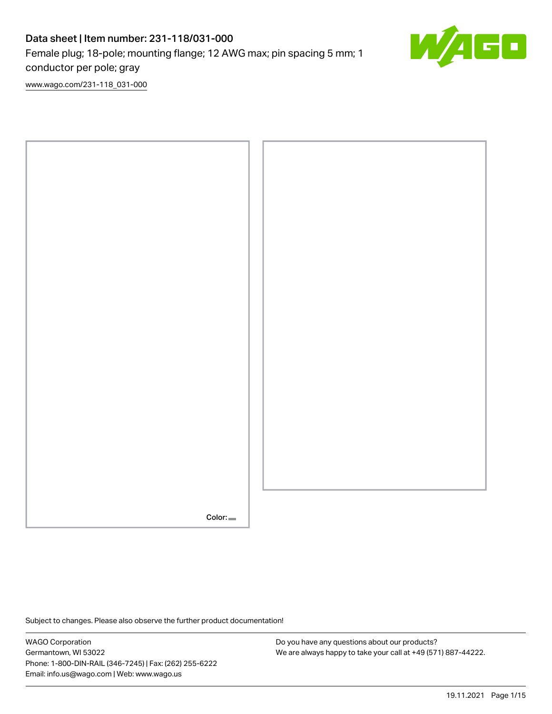# Data sheet | Item number: 231-118/031-000 Female plug; 18-pole; mounting flange; 12 AWG max; pin spacing 5 mm; 1 conductor per pole; gray



[www.wago.com/231-118\\_031-000](http://www.wago.com/231-118_031-000)



Subject to changes. Please also observe the further product documentation!

WAGO Corporation Germantown, WI 53022 Phone: 1-800-DIN-RAIL (346-7245) | Fax: (262) 255-6222 Email: info.us@wago.com | Web: www.wago.us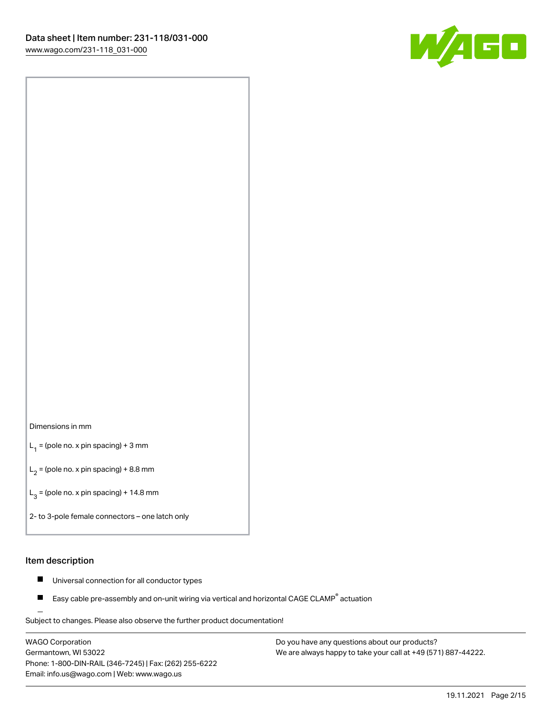

#### Dimensions in mm

 $L_1$  = (pole no. x pin spacing) + 3 mm

 $L_2$  = (pole no. x pin spacing) + 8.8 mm

 $L_3$  = (pole no. x pin spacing) + 14.8 mm

2- to 3-pole female connectors – one latch only

#### Item description

- Universal connection for all conductor types  $\blacksquare$
- Easy cable pre-assembly and on-unit wiring via vertical and horizontal CAGE CLAMP<sup>®</sup> actuation П

.<br>Subject to changes. Please also observe the further product documentation!

WAGO Corporation Germantown, WI 53022 Phone: 1-800-DIN-RAIL (346-7245) | Fax: (262) 255-6222 Email: info.us@wago.com | Web: www.wago.us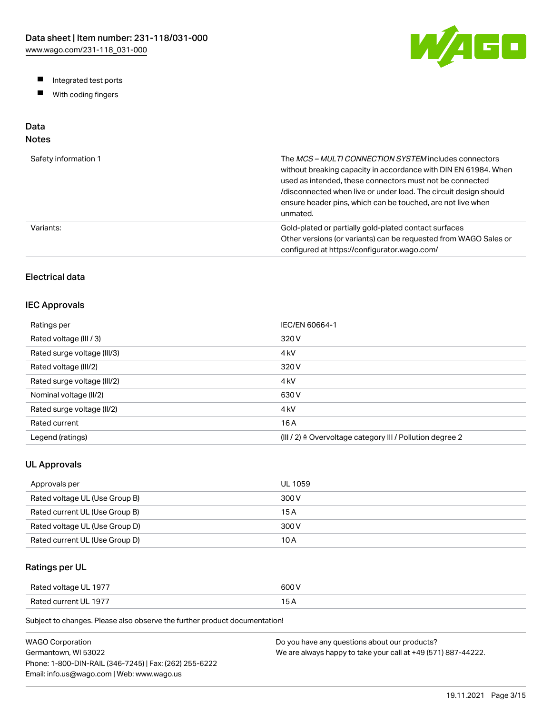W/AGO

- Integrated test ports
- $\blacksquare$ With coding fingers

# Data

# Notes

| Safety information 1 | The MCS-MULTI CONNECTION SYSTEM includes connectors<br>without breaking capacity in accordance with DIN EN 61984. When<br>used as intended, these connectors must not be connected<br>/disconnected when live or under load. The circuit design should<br>ensure header pins, which can be touched, are not live when<br>unmated. |
|----------------------|-----------------------------------------------------------------------------------------------------------------------------------------------------------------------------------------------------------------------------------------------------------------------------------------------------------------------------------|
| Variants:            | Gold-plated or partially gold-plated contact surfaces<br>Other versions (or variants) can be requested from WAGO Sales or<br>configured at https://configurator.wago.com/                                                                                                                                                         |

# Electrical data

## IEC Approvals

| Ratings per                 | IEC/EN 60664-1                                                        |
|-----------------------------|-----------------------------------------------------------------------|
| Rated voltage (III / 3)     | 320 V                                                                 |
| Rated surge voltage (III/3) | 4 <sub>kV</sub>                                                       |
| Rated voltage (III/2)       | 320 V                                                                 |
| Rated surge voltage (III/2) | 4 <sub>k</sub> V                                                      |
| Nominal voltage (II/2)      | 630 V                                                                 |
| Rated surge voltage (II/2)  | 4 <sub>k</sub> V                                                      |
| Rated current               | 16 A                                                                  |
| Legend (ratings)            | $(III / 2)$ $\triangle$ Overvoltage category III / Pollution degree 2 |

## UL Approvals

| Approvals per                  | <b>UL 1059</b> |
|--------------------------------|----------------|
| Rated voltage UL (Use Group B) | 300 V          |
| Rated current UL (Use Group B) | 15 A           |
| Rated voltage UL (Use Group D) | 300 V          |
| Rated current UL (Use Group D) | 10 A           |

## Ratings per UL

| Rated voltage UL 1977 | 600 V  |
|-----------------------|--------|
| Rated current UL 1977 | $\sim$ |

| WAGO Corporation                                       | Do you have any questions about our products?                 |
|--------------------------------------------------------|---------------------------------------------------------------|
| Germantown. WI 53022                                   | We are always happy to take your call at +49 (571) 887-44222. |
| Phone: 1-800-DIN-RAIL (346-7245)   Fax: (262) 255-6222 |                                                               |
| Email: info.us@wago.com   Web: www.wago.us             |                                                               |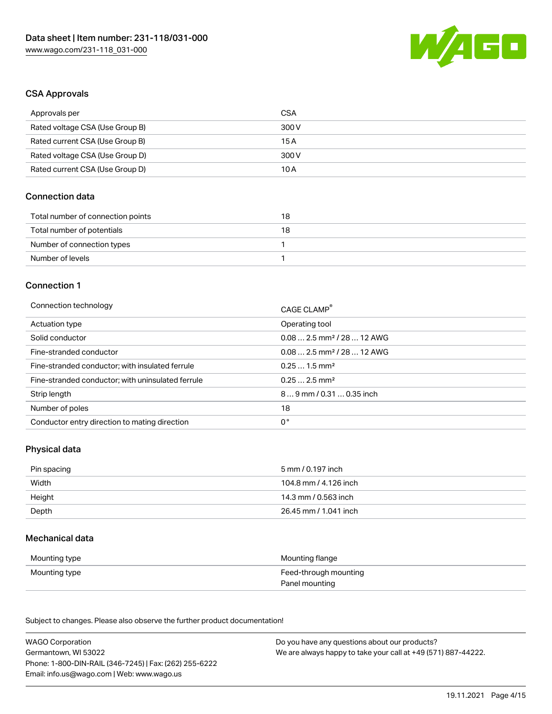

#### CSA Approvals

| Approvals per                   | CSA   |
|---------------------------------|-------|
| Rated voltage CSA (Use Group B) | 300 V |
| Rated current CSA (Use Group B) | 15 A  |
| Rated voltage CSA (Use Group D) | 300 V |
| Rated current CSA (Use Group D) | 10 A  |

## Connection data

| Total number of connection points | 18 |
|-----------------------------------|----|
| Total number of potentials        | 18 |
| Number of connection types        |    |
| Number of levels                  |    |

#### Connection 1

| Connection technology                             | CAGE CLAMP®                            |
|---------------------------------------------------|----------------------------------------|
| Actuation type                                    | Operating tool                         |
| Solid conductor                                   | $0.082.5$ mm <sup>2</sup> / 28  12 AWG |
| Fine-stranded conductor                           | $0.082.5$ mm <sup>2</sup> / 28  12 AWG |
| Fine-stranded conductor; with insulated ferrule   | $0.251.5$ mm <sup>2</sup>              |
| Fine-stranded conductor; with uninsulated ferrule | $0.252.5$ mm <sup>2</sup>              |
| Strip length                                      | $89$ mm / 0.31  0.35 inch              |
| Number of poles                                   | 18                                     |
| Conductor entry direction to mating direction     | 0°                                     |
|                                                   |                                        |

## Physical data

| Pin spacing | 5 mm / 0.197 inch     |
|-------------|-----------------------|
| Width       | 104.8 mm / 4.126 inch |
| Height      | 14.3 mm / 0.563 inch  |
| Depth       | 26.45 mm / 1.041 inch |

#### Mechanical data

| Mounting type | Mounting flange       |
|---------------|-----------------------|
| Mounting type | Feed-through mounting |
|               | Panel mounting        |

| <b>WAGO Corporation</b>                                | Do you have any questions about our products?                 |
|--------------------------------------------------------|---------------------------------------------------------------|
| Germantown, WI 53022                                   | We are always happy to take your call at +49 (571) 887-44222. |
| Phone: 1-800-DIN-RAIL (346-7245)   Fax: (262) 255-6222 |                                                               |
| Email: info.us@wago.com   Web: www.wago.us             |                                                               |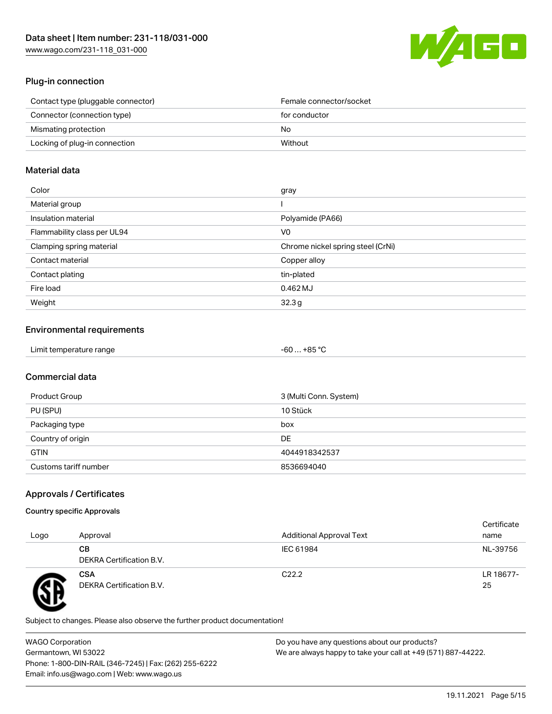

# Plug-in connection

| Contact type (pluggable connector) | Female connector/socket |
|------------------------------------|-------------------------|
| Connector (connection type)        | for conductor           |
| Mismating protection               | No.                     |
| Locking of plug-in connection      | Without                 |
|                                    |                         |

## Material data

| Color                       | gray                              |
|-----------------------------|-----------------------------------|
| Material group              |                                   |
| Insulation material         | Polyamide (PA66)                  |
| Flammability class per UL94 | V <sub>0</sub>                    |
| Clamping spring material    | Chrome nickel spring steel (CrNi) |
| Contact material            | Copper alloy                      |
| Contact plating             | tin-plated                        |
| Fire load                   | $0.462$ MJ                        |
| Weight                      | 32.3g                             |

## Environmental requirements

| Limit temperature range<br>$\blacksquare$ . The contract of the contract of the contract of the contract of the contract of the contract of the contract of the contract of the contract of the contract of the contract of the contract of the contract of the | . +85 °Ր<br>-60 |
|-----------------------------------------------------------------------------------------------------------------------------------------------------------------------------------------------------------------------------------------------------------------|-----------------|
|-----------------------------------------------------------------------------------------------------------------------------------------------------------------------------------------------------------------------------------------------------------------|-----------------|

# Commercial data

| Product Group         | 3 (Multi Conn. System) |
|-----------------------|------------------------|
| PU (SPU)              | 10 Stück               |
| Packaging type        | box                    |
| Country of origin     | DE                     |
| <b>GTIN</b>           | 4044918342537          |
| Customs tariff number | 8536694040             |

# Approvals / Certificates

#### Country specific Approvals

| Logo | Approval                               | <b>Additional Approval Text</b> | Certificate<br>name |
|------|----------------------------------------|---------------------------------|---------------------|
|      | CВ<br><b>DEKRA Certification B.V.</b>  | IEC 61984                       | NL-39756            |
|      | <b>CSA</b><br>DEKRA Certification B.V. | C <sub>22.2</sub>               | LR 18677-<br>25     |

Subject to changes. Please also observe the further product documentation!

WAGO Corporation Germantown, WI 53022 Phone: 1-800-DIN-RAIL (346-7245) | Fax: (262) 255-6222 Email: info.us@wago.com | Web: www.wago.us Do you have any questions about our products? We are always happy to take your call at +49 (571) 887-44222.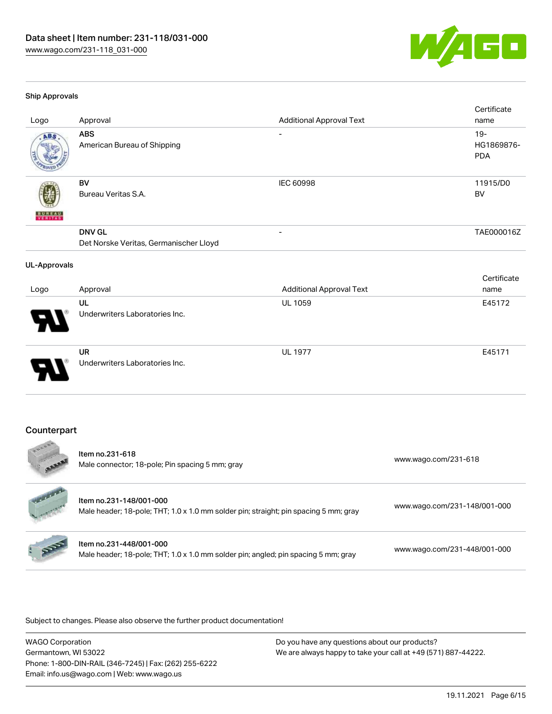

#### Ship Approvals

| Logo                     | Approval                                                | <b>Additional Approval Text</b> | Certificate<br>name                |
|--------------------------|---------------------------------------------------------|---------------------------------|------------------------------------|
| ABS                      | <b>ABS</b><br>American Bureau of Shipping               | $\overline{\phantom{a}}$        | $19 -$<br>HG1869876-<br><b>PDA</b> |
| <b>BUNEAU</b><br>VERITAS | <b>BV</b><br>Bureau Veritas S.A.                        | IEC 60998                       | 11915/D0<br><b>BV</b>              |
|                          | <b>DNV GL</b><br>Det Norske Veritas, Germanischer Lloyd |                                 | TAE000016Z                         |
| <b>UL-Approvals</b>      |                                                         |                                 |                                    |
| Logo                     | Approval                                                | <b>Additional Approval Text</b> | Certificate<br>name                |
|                          | <b>UL</b><br>Underwriters Laboratories Inc.             | <b>UL 1059</b>                  | E45172                             |
|                          | <b>UR</b><br>Underwriters Laboratories Inc.             | <b>UL 1977</b>                  | E45171                             |
| Counterpart<br>          |                                                         |                                 |                                    |

|                        | Item no.231-618<br>Male connector; 18-pole; Pin spacing 5 mm; gray                                              | www.wago.com/231-618         |
|------------------------|-----------------------------------------------------------------------------------------------------------------|------------------------------|
| <b>Harland Comment</b> | Item no.231-148/001-000<br>Male header; 18-pole; THT; 1.0 x 1.0 mm solder pin; straight; pin spacing 5 mm; gray | www.wago.com/231-148/001-000 |
| : ppp                  | Item no.231-448/001-000<br>Male header; 18-pole; THT; 1.0 x 1.0 mm solder pin; angled; pin spacing 5 mm; gray   | www.wago.com/231-448/001-000 |

Subject to changes. Please also observe the further product documentation!

WAGO Corporation Germantown, WI 53022 Phone: 1-800-DIN-RAIL (346-7245) | Fax: (262) 255-6222 Email: info.us@wago.com | Web: www.wago.us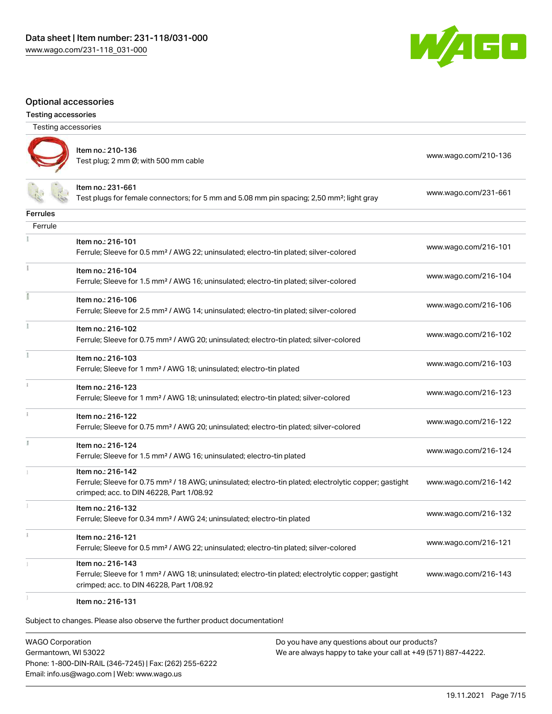Item no.: 210-136



#### Optional accessories

| <b>Testing accessories</b> |  |
|----------------------------|--|
|                            |  |
|                            |  |

Testing accessories

|                 | Item no.: 231-661<br>Test plugs for female connectors; for 5 mm and 5.08 mm pin spacing; 2,50 mm <sup>2</sup> ; light gray                                                         | www.wago.com/231-661 |
|-----------------|------------------------------------------------------------------------------------------------------------------------------------------------------------------------------------|----------------------|
| <b>Ferrules</b> |                                                                                                                                                                                    |                      |
| Ferrule         |                                                                                                                                                                                    |                      |
|                 | Item no.: 216-101<br>Ferrule; Sleeve for 0.5 mm <sup>2</sup> / AWG 22; uninsulated; electro-tin plated; silver-colored                                                             | www.wago.com/216-101 |
|                 | Item no.: 216-104<br>Ferrule; Sleeve for 1.5 mm <sup>2</sup> / AWG 16; uninsulated; electro-tin plated; silver-colored                                                             | www.wago.com/216-104 |
|                 | Item no.: 216-106<br>Ferrule; Sleeve for 2.5 mm <sup>2</sup> / AWG 14; uninsulated; electro-tin plated; silver-colored                                                             | www.wago.com/216-106 |
|                 | Item no.: 216-102<br>Ferrule; Sleeve for 0.75 mm <sup>2</sup> / AWG 20; uninsulated; electro-tin plated; silver-colored                                                            | www.wago.com/216-102 |
|                 | Item no.: 216-103<br>Ferrule; Sleeve for 1 mm <sup>2</sup> / AWG 18; uninsulated; electro-tin plated                                                                               | www.wago.com/216-103 |
|                 | Item no.: 216-123<br>Ferrule; Sleeve for 1 mm <sup>2</sup> / AWG 18; uninsulated; electro-tin plated; silver-colored                                                               | www.wago.com/216-123 |
|                 | Item no.: 216-122<br>Ferrule; Sleeve for 0.75 mm <sup>2</sup> / AWG 20; uninsulated; electro-tin plated; silver-colored                                                            | www.wago.com/216-122 |
|                 | Item no.: 216-124<br>Ferrule; Sleeve for 1.5 mm <sup>2</sup> / AWG 16; uninsulated; electro-tin plated                                                                             | www.wago.com/216-124 |
|                 | Item no.: 216-142<br>Ferrule; Sleeve for 0.75 mm <sup>2</sup> / 18 AWG; uninsulated; electro-tin plated; electrolytic copper; gastight<br>crimped; acc. to DIN 46228, Part 1/08.92 | www.wago.com/216-142 |
|                 | Item no.: 216-132<br>Ferrule; Sleeve for 0.34 mm <sup>2</sup> / AWG 24; uninsulated; electro-tin plated                                                                            | www.wago.com/216-132 |
|                 | Item no.: 216-121<br>Ferrule; Sleeve for 0.5 mm <sup>2</sup> / AWG 22; uninsulated; electro-tin plated; silver-colored                                                             | www.wago.com/216-121 |
|                 | Item no.: 216-143<br>Ferrule; Sleeve for 1 mm <sup>2</sup> / AWG 18; uninsulated; electro-tin plated; electrolytic copper; gastight<br>crimped; acc. to DIN 46228, Part 1/08.92    | www.wago.com/216-143 |

Test plug; 2 no-130<br>Test plug; 2 mm Ø; with 500 mm cable [www.wago.com/210-136](http://www.wago.com/210-136)

Item no.: 216-131

Subject to changes. Please also observe the further product documentation!

WAGO Corporation Germantown, WI 53022 Phone: 1-800-DIN-RAIL (346-7245) | Fax: (262) 255-6222 Email: info.us@wago.com | Web: www.wago.us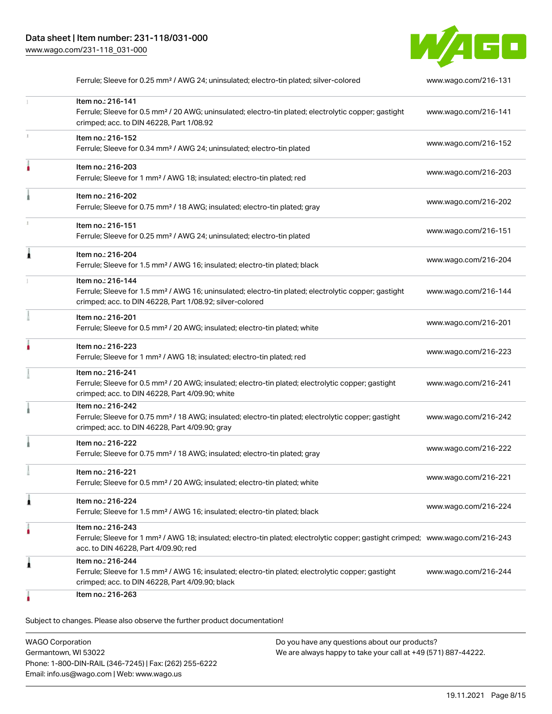

|   | Ferrule; Sleeve for 0.25 mm <sup>2</sup> / AWG 24; uninsulated; electro-tin plated; silver-colored                                                                                                      | www.wago.com/216-131 |
|---|---------------------------------------------------------------------------------------------------------------------------------------------------------------------------------------------------------|----------------------|
|   | Item no.: 216-141<br>Ferrule; Sleeve for 0.5 mm <sup>2</sup> / 20 AWG; uninsulated; electro-tin plated; electrolytic copper; gastight<br>crimped; acc. to DIN 46228, Part 1/08.92                       | www.wago.com/216-141 |
|   | Item no.: 216-152<br>Ferrule; Sleeve for 0.34 mm <sup>2</sup> / AWG 24; uninsulated; electro-tin plated                                                                                                 | www.wago.com/216-152 |
|   | Item no.: 216-203<br>Ferrule; Sleeve for 1 mm <sup>2</sup> / AWG 18; insulated; electro-tin plated; red                                                                                                 | www.wago.com/216-203 |
|   | Item no.: 216-202<br>Ferrule; Sleeve for 0.75 mm <sup>2</sup> / 18 AWG; insulated; electro-tin plated; gray                                                                                             | www.wago.com/216-202 |
|   | Item no.: 216-151<br>Ferrule; Sleeve for 0.25 mm <sup>2</sup> / AWG 24; uninsulated; electro-tin plated                                                                                                 | www.wago.com/216-151 |
|   | Item no.: 216-204<br>Ferrule; Sleeve for 1.5 mm <sup>2</sup> / AWG 16; insulated; electro-tin plated; black                                                                                             | www.wago.com/216-204 |
|   | Item no.: 216-144<br>Ferrule; Sleeve for 1.5 mm <sup>2</sup> / AWG 16; uninsulated; electro-tin plated; electrolytic copper; gastight<br>crimped; acc. to DIN 46228, Part 1/08.92; silver-colored       | www.wago.com/216-144 |
|   | Item no.: 216-201<br>Ferrule; Sleeve for 0.5 mm <sup>2</sup> / 20 AWG; insulated; electro-tin plated; white                                                                                             | www.wago.com/216-201 |
|   | Item no.: 216-223<br>Ferrule; Sleeve for 1 mm <sup>2</sup> / AWG 18; insulated; electro-tin plated; red                                                                                                 | www.wago.com/216-223 |
|   | Item no.: 216-241<br>Ferrule; Sleeve for 0.5 mm <sup>2</sup> / 20 AWG; insulated; electro-tin plated; electrolytic copper; gastight<br>crimped; acc. to DIN 46228, Part 4/09.90; white                  | www.wago.com/216-241 |
|   | Item no.: 216-242<br>Ferrule; Sleeve for 0.75 mm <sup>2</sup> / 18 AWG; insulated; electro-tin plated; electrolytic copper; gastight<br>crimped; acc. to DIN 46228, Part 4/09.90; gray                  | www.wago.com/216-242 |
|   | Item no.: 216-222<br>Ferrule; Sleeve for 0.75 mm <sup>2</sup> / 18 AWG; insulated; electro-tin plated; gray                                                                                             | www.wago.com/216-222 |
|   | Item no.: 216-221<br>Ferrule; Sleeve for 0.5 mm <sup>2</sup> / 20 AWG; insulated; electro-tin plated; white                                                                                             | www.wago.com/216-221 |
| 1 | Item no.: 216-224<br>Ferrule; Sleeve for 1.5 mm <sup>2</sup> / AWG 16; insulated; electro-tin plated; black                                                                                             | www.wago.com/216-224 |
|   | Item no.: 216-243<br>Ferrule; Sleeve for 1 mm <sup>2</sup> / AWG 18; insulated; electro-tin plated; electrolytic copper; gastight crimped; www.wago.com/216-243<br>acc. to DIN 46228, Part 4/09.90; red |                      |
| 1 | Item no.: 216-244<br>Ferrule; Sleeve for 1.5 mm <sup>2</sup> / AWG 16; insulated; electro-tin plated; electrolytic copper; gastight<br>crimped; acc. to DIN 46228, Part 4/09.90; black                  | www.wago.com/216-244 |
|   | Item no.: 216-263                                                                                                                                                                                       |                      |

| <b>WAGO Corporation</b>                                | Do you have any questions about our products?                 |
|--------------------------------------------------------|---------------------------------------------------------------|
| Germantown, WI 53022                                   | We are always happy to take your call at +49 (571) 887-44222. |
| Phone: 1-800-DIN-RAIL (346-7245)   Fax: (262) 255-6222 |                                                               |
| Email: info.us@wago.com   Web: www.wago.us             |                                                               |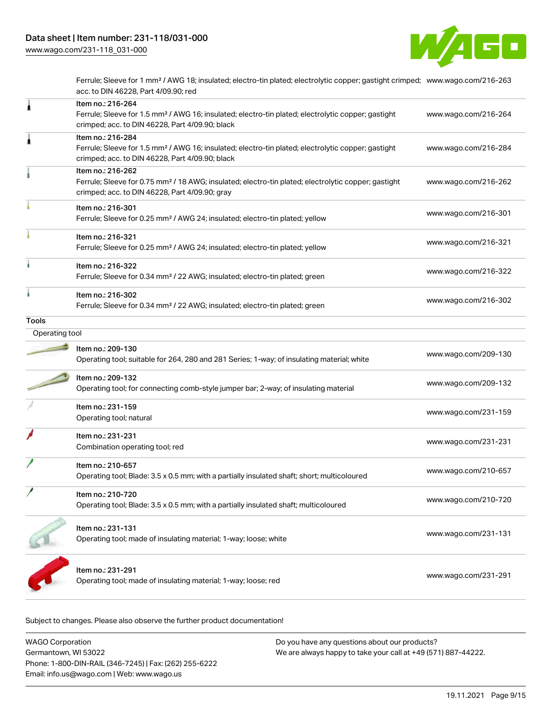

Ferrule; Sleeve for 1 mm² / AWG 18; insulated; electro-tin plated; electrolytic copper; gastight crimped; [www.wago.com/216-263](http://www.wago.com/216-263) acc. to DIN 46228, Part 4/09.90; red

| 1              | Item no.: 216-264<br>Ferrule; Sleeve for 1.5 mm <sup>2</sup> / AWG 16; insulated; electro-tin plated; electrolytic copper; gastight<br>crimped; acc. to DIN 46228, Part 4/09.90; black | www.wago.com/216-264 |
|----------------|----------------------------------------------------------------------------------------------------------------------------------------------------------------------------------------|----------------------|
| 1              | Item no.: 216-284<br>Ferrule; Sleeve for 1.5 mm <sup>2</sup> / AWG 16; insulated; electro-tin plated; electrolytic copper; gastight<br>crimped; acc. to DIN 46228, Part 4/09.90; black | www.wago.com/216-284 |
|                | Item no.: 216-262<br>Ferrule; Sleeve for 0.75 mm <sup>2</sup> / 18 AWG; insulated; electro-tin plated; electrolytic copper; gastight<br>crimped; acc. to DIN 46228, Part 4/09.90; gray | www.wago.com/216-262 |
|                | Item no.: 216-301<br>Ferrule; Sleeve for 0.25 mm <sup>2</sup> / AWG 24; insulated; electro-tin plated; yellow                                                                          | www.wago.com/216-301 |
|                | Item no.: 216-321<br>Ferrule; Sleeve for 0.25 mm <sup>2</sup> / AWG 24; insulated; electro-tin plated; yellow                                                                          | www.wago.com/216-321 |
|                | Item no.: 216-322<br>Ferrule; Sleeve for 0.34 mm <sup>2</sup> / 22 AWG; insulated; electro-tin plated; green                                                                           | www.wago.com/216-322 |
|                | Item no.: 216-302<br>Ferrule; Sleeve for 0.34 mm <sup>2</sup> / 22 AWG; insulated; electro-tin plated; green                                                                           | www.wago.com/216-302 |
| Tools          |                                                                                                                                                                                        |                      |
| Operating tool |                                                                                                                                                                                        |                      |
|                | Item no.: 209-130<br>Operating tool; suitable for 264, 280 and 281 Series; 1-way; of insulating material; white                                                                        | www.wago.com/209-130 |
|                | Item no.: 209-132<br>Operating tool; for connecting comb-style jumper bar; 2-way; of insulating material                                                                               | www.wago.com/209-132 |
|                | Item no.: 231-159<br>Operating tool; natural                                                                                                                                           | www.wago.com/231-159 |
|                | Item no.: 231-231<br>Combination operating tool; red                                                                                                                                   | www.wago.com/231-231 |
|                | Item no.: 210-657<br>Operating tool; Blade: 3.5 x 0.5 mm; with a partially insulated shaft; short; multicoloured                                                                       | www.wago.com/210-657 |
|                | Item no.: 210-720<br>Operating tool; Blade: 3.5 x 0.5 mm; with a partially insulated shaft; multicoloured                                                                              | www.wago.com/210-720 |
|                | Item no.: 231-131<br>Operating tool; made of insulating material; 1-way; loose; white                                                                                                  | www.wago.com/231-131 |
|                | Item no.: 231-291<br>Operating tool; made of insulating material; 1-way; loose; red                                                                                                    | www.wago.com/231-291 |

| <b>WAGO Corporation</b>                                | Do you have any questions about our products?                 |
|--------------------------------------------------------|---------------------------------------------------------------|
| Germantown, WI 53022                                   | We are always happy to take your call at +49 (571) 887-44222. |
| Phone: 1-800-DIN-RAIL (346-7245)   Fax: (262) 255-6222 |                                                               |
| Email: info.us@wago.com   Web: www.wago.us             |                                                               |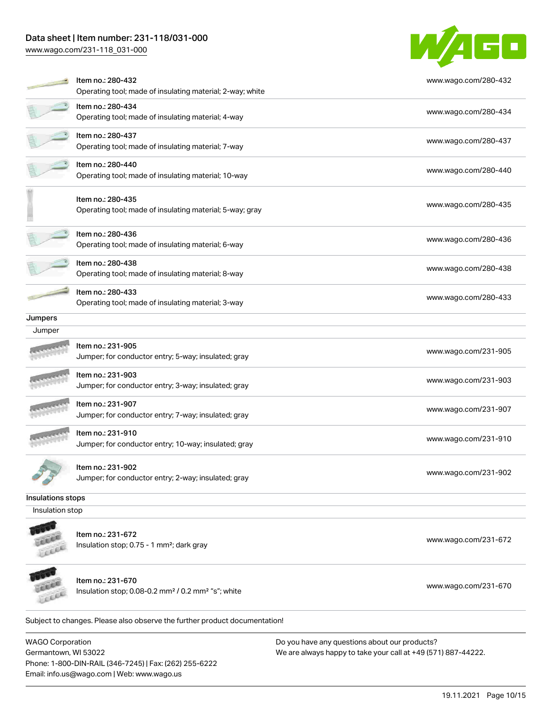# Data sheet | Item number: 231-118/031-000

[www.wago.com/231-118\\_031-000](http://www.wago.com/231-118_031-000)



|                   | Item no.: 280-432<br>Operating tool; made of insulating material; 2-way; white | www.wago.com/280-432 |
|-------------------|--------------------------------------------------------------------------------|----------------------|
|                   | Item no.: 280-434<br>Operating tool; made of insulating material; 4-way        | www.wago.com/280-434 |
|                   | Item no.: 280-437<br>Operating tool; made of insulating material; 7-way        | www.wago.com/280-437 |
|                   | Item no.: 280-440<br>Operating tool; made of insulating material; 10-way       | www.wago.com/280-440 |
|                   | Item no.: 280-435<br>Operating tool; made of insulating material; 5-way; gray  | www.wago.com/280-435 |
|                   | Item no.: 280-436<br>Operating tool; made of insulating material; 6-way        | www.wago.com/280-436 |
|                   | Item no.: 280-438<br>Operating tool; made of insulating material; 8-way        | www.wago.com/280-438 |
|                   | Item no.: 280-433<br>Operating tool; made of insulating material; 3-way        | www.wago.com/280-433 |
| Jumpers           |                                                                                |                      |
| Jumper            |                                                                                |                      |
|                   | Item no.: 231-905<br>Jumper; for conductor entry; 5-way; insulated; gray       | www.wago.com/231-905 |
|                   | Item no.: 231-903<br>Jumper; for conductor entry; 3-way; insulated; gray       | www.wago.com/231-903 |
|                   | Item no.: 231-907<br>Jumper; for conductor entry; 7-way; insulated; gray       | www.wago.com/231-907 |
|                   | Item no.: 231-910<br>Jumper; for conductor entry; 10-way; insulated; gray      | www.wago.com/231-910 |
|                   | Item no.: 231-902<br>Jumper; for conductor entry; 2-way; insulated; gray       | www.wago.com/231-902 |
| Insulations stops |                                                                                |                      |
| Insulation stop   |                                                                                |                      |
|                   | Item no.: 231-672<br>Insulation stop; 0.75 - 1 mm <sup>2</sup> ; dark gray     | www.wago.com/231-672 |
|                   | Item no.: 231-670                                                              |                      |

Insulation stop; 0.08-0.2 mm² / 0.2 mm² "s"; white [www.wago.com/231-670](http://www.wago.com/231-670) www.wago.com/231-670

Subject to changes. Please also observe the further product documentation!

WAGO Corporation Germantown, WI 53022 Phone: 1-800-DIN-RAIL (346-7245) | Fax: (262) 255-6222 Email: info.us@wago.com | Web: www.wago.us

**COLLER** Leece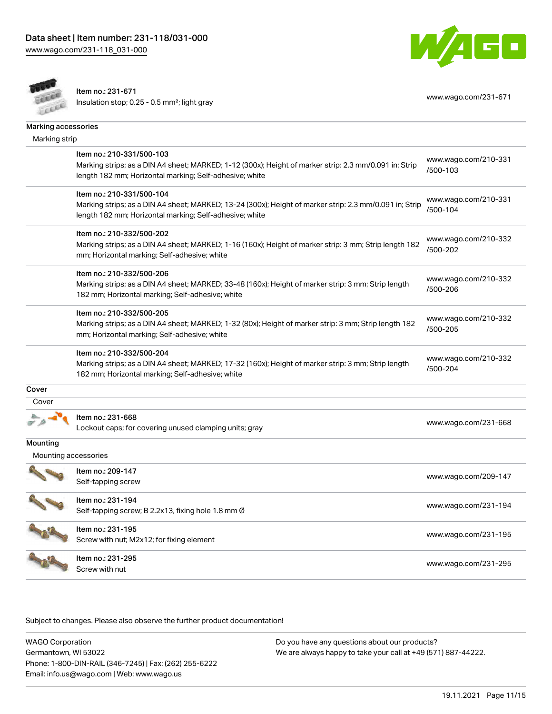



Item no.: 231-671 Insulation stop; 0.25 - 0.5 mm²; light gray [www.wago.com/231-671](http://www.wago.com/231-671) www.wago.com/231-671

| Marking accessories  |                                                                                                                                                                                      |                                  |
|----------------------|--------------------------------------------------------------------------------------------------------------------------------------------------------------------------------------|----------------------------------|
| Marking strip        |                                                                                                                                                                                      |                                  |
|                      | Item no.: 210-331/500-103                                                                                                                                                            | www.wago.com/210-331             |
|                      | Marking strips; as a DIN A4 sheet; MARKED; 1-12 (300x); Height of marker strip: 2.3 mm/0.091 in; Strip<br>length 182 mm; Horizontal marking; Self-adhesive; white                    | /500-103                         |
|                      | Item no.: 210-331/500-104                                                                                                                                                            | www.wago.com/210-331             |
|                      | Marking strips; as a DIN A4 sheet; MARKED; 13-24 (300x); Height of marker strip: 2.3 mm/0.091 in; Strip<br>length 182 mm; Horizontal marking; Self-adhesive; white                   | /500-104                         |
|                      | Item no.: 210-332/500-202                                                                                                                                                            |                                  |
|                      | Marking strips; as a DIN A4 sheet; MARKED; 1-16 (160x); Height of marker strip: 3 mm; Strip length 182<br>mm; Horizontal marking; Self-adhesive; white                               | www.wago.com/210-332<br>/500-202 |
|                      | Item no.: 210-332/500-206                                                                                                                                                            | www.wago.com/210-332             |
|                      | Marking strips; as a DIN A4 sheet; MARKED; 33-48 (160x); Height of marker strip: 3 mm; Strip length<br>182 mm; Horizontal marking; Self-adhesive; white                              | /500-206                         |
|                      | Item no.: 210-332/500-205                                                                                                                                                            |                                  |
|                      | Marking strips; as a DIN A4 sheet; MARKED; 1-32 (80x); Height of marker strip: 3 mm; Strip length 182<br>mm; Horizontal marking; Self-adhesive; white                                | www.wago.com/210-332<br>/500-205 |
|                      | Item no.: 210-332/500-204<br>Marking strips; as a DIN A4 sheet; MARKED; 17-32 (160x); Height of marker strip: 3 mm; Strip length<br>182 mm; Horizontal marking; Self-adhesive; white | www.wago.com/210-332<br>/500-204 |
| Cover                |                                                                                                                                                                                      |                                  |
| Cover                |                                                                                                                                                                                      |                                  |
|                      | Item no.: 231-668<br>Lockout caps; for covering unused clamping units; gray                                                                                                          | www.wago.com/231-668             |
| Mounting             |                                                                                                                                                                                      |                                  |
| Mounting accessories |                                                                                                                                                                                      |                                  |
|                      | Item no.: 209-147<br>Self-tapping screw                                                                                                                                              | www.wago.com/209-147             |
|                      | Item no.: 231-194<br>Self-tapping screw; B 2.2x13, fixing hole 1.8 mm Ø                                                                                                              | www.wago.com/231-194             |
|                      | Item no.: 231-195<br>Screw with nut; M2x12; for fixing element                                                                                                                       | www.wago.com/231-195             |
|                      | Item no.: 231-295<br>Screw with nut                                                                                                                                                  | www.wago.com/231-295             |

.<br>Subject to changes. Please also observe the further product documentation!

WAGO Corporation Germantown, WI 53022 Phone: 1-800-DIN-RAIL (346-7245) | Fax: (262) 255-6222 Email: info.us@wago.com | Web: www.wago.us Do you have any questions about our products? We are always happy to take your call at +49 (571) 887-44222.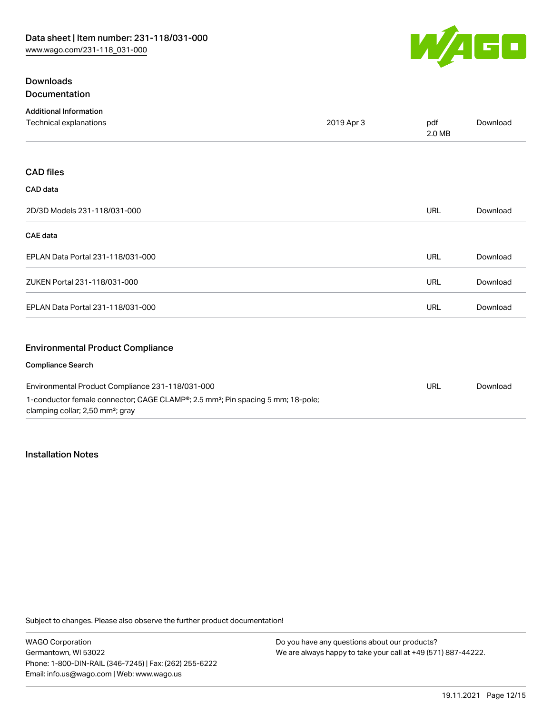

# **Downloads** Documentation

| <b>Additional Information</b>                    |            |               |          |
|--------------------------------------------------|------------|---------------|----------|
| Technical explanations                           | 2019 Apr 3 | pdf<br>2.0 MB | Download |
|                                                  |            |               |          |
| <b>CAD files</b>                                 |            |               |          |
| CAD data                                         |            |               |          |
| 2D/3D Models 231-118/031-000                     |            | <b>URL</b>    | Download |
| <b>CAE</b> data                                  |            |               |          |
| EPLAN Data Portal 231-118/031-000                |            | <b>URL</b>    | Download |
| ZUKEN Portal 231-118/031-000                     |            | <b>URL</b>    | Download |
| EPLAN Data Portal 231-118/031-000                |            | <b>URL</b>    | Download |
| <b>Environmental Product Compliance</b>          |            |               |          |
| <b>Compliance Search</b>                         |            |               |          |
| Environmental Product Compliance 231-118/031-000 |            | <b>TIRL</b>   | Download |

Environmental Product Compliance 231-118/031-000 1-conductor female connector; CAGE CLAMP®; 2.5 mm²; Pin spacing 5 mm; 18-pole; clamping collar; 2,50 mm²; gray URL [Download](https://www.wago.com/global/d/ComplianceLinkMediaContainer_231-118_031-000)

# Installation Notes

Subject to changes. Please also observe the further product documentation!

WAGO Corporation Germantown, WI 53022 Phone: 1-800-DIN-RAIL (346-7245) | Fax: (262) 255-6222 Email: info.us@wago.com | Web: www.wago.us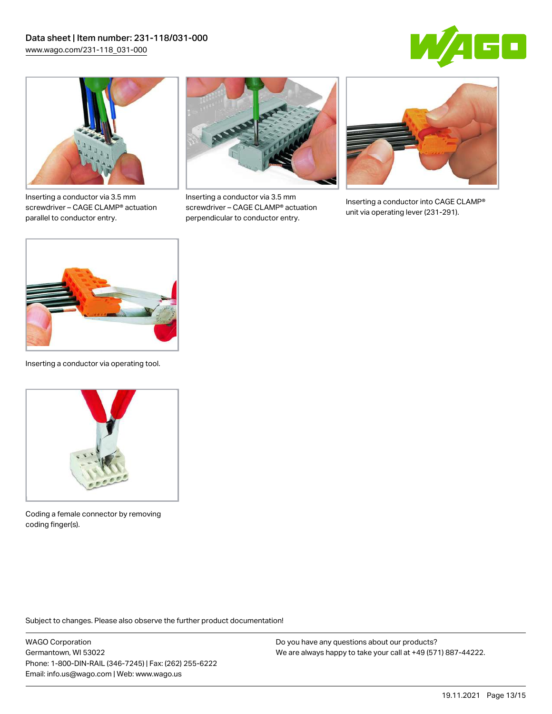



Inserting a conductor via 3.5 mm screwdriver – CAGE CLAMP® actuation parallel to conductor entry.



Inserting a conductor via 3.5 mm screwdriver – CAGE CLAMP® actuation perpendicular to conductor entry.



Inserting a conductor into CAGE CLAMP® unit via operating lever (231-291).



Inserting a conductor via operating tool.



Coding a female connector by removing coding finger(s).

Subject to changes. Please also observe the further product documentation!

WAGO Corporation Germantown, WI 53022 Phone: 1-800-DIN-RAIL (346-7245) | Fax: (262) 255-6222 Email: info.us@wago.com | Web: www.wago.us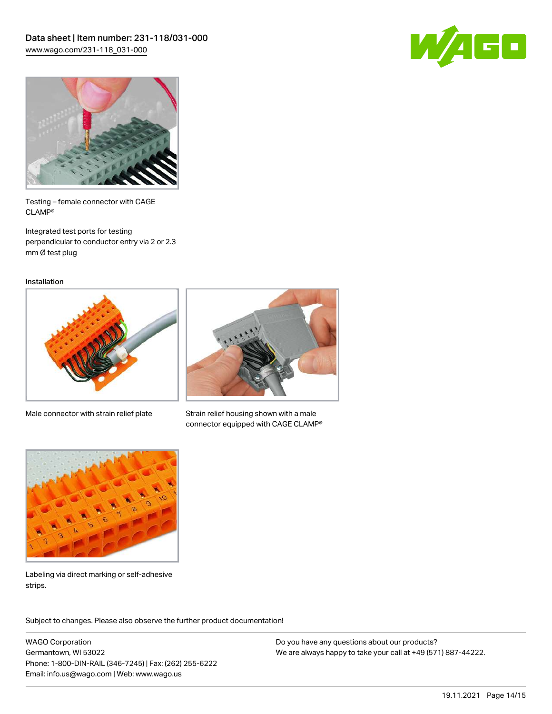



Testing – female connector with CAGE CLAMP®

Integrated test ports for testing perpendicular to conductor entry via 2 or 2.3 mm Ø test plug

Installation



Male connector with strain relief plate



Strain relief housing shown with a male connector equipped with CAGE CLAMP®



Labeling via direct marking or self-adhesive strips.

Subject to changes. Please also observe the further product documentation! Product family

WAGO Corporation Germantown, WI 53022 Phone: 1-800-DIN-RAIL (346-7245) | Fax: (262) 255-6222 Email: info.us@wago.com | Web: www.wago.us